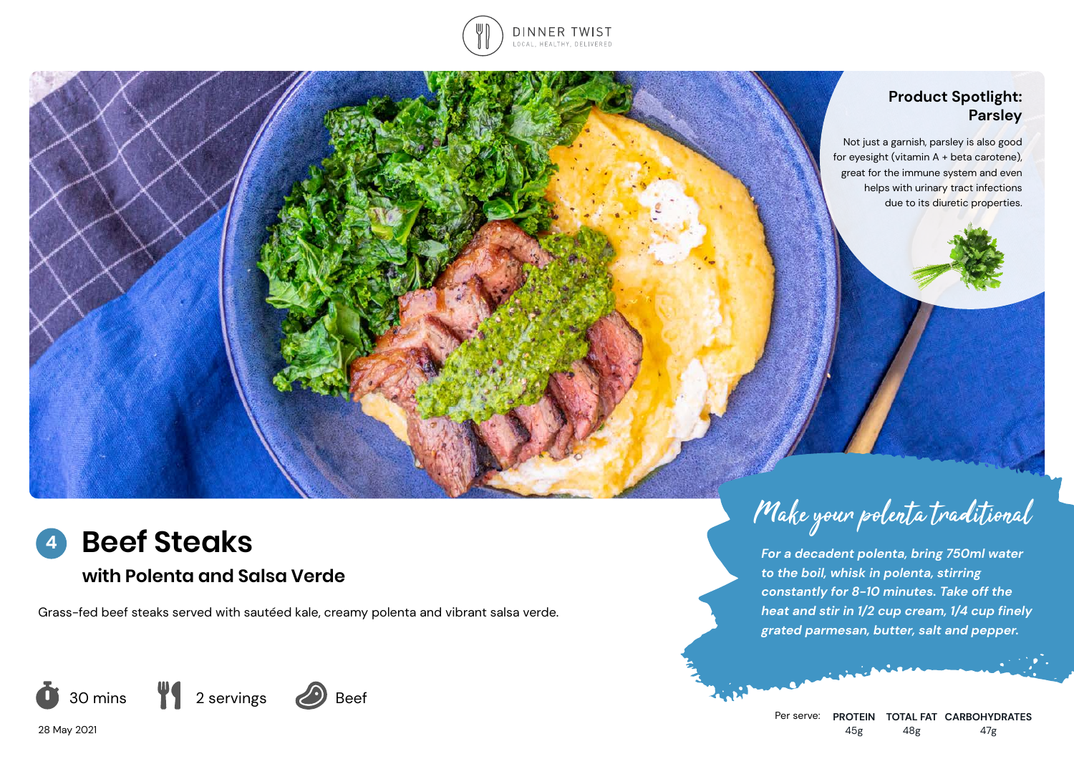

### **Product Spotlight: Parsley**

Not just a garnish, parsley is also good for eyesight (vitamin A + beta carotene), great for the immune system and even helps with urinary tract infections due to its diuretic properties.



# **with Polenta and Salsa Verde**

Grass-fed beef steaks served with sautéed kale, creamy polenta and vibrant salsa verde.



28 May 2021



Make your polenta traditional

*For a decadent polenta, bring 750ml water* 

*to the boil, whisk in polenta, stirring constantly for 8-10 minutes. Take off the heat and stir in 1/2 cup cream, 1/4 cup finely grated parmesan, butter, salt and pepper.*